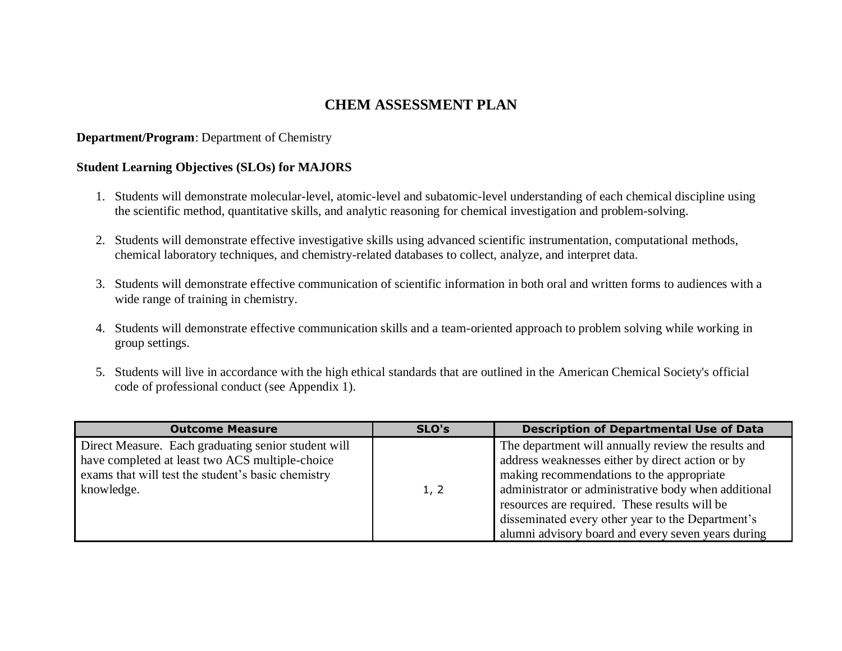# **CHEM ASSESSMENT PLAN**

### **Department/Program**: Department of Chemistry

### **Student Learning Objectives (SLOs) for MAJORS**

- 1. Students will demonstrate molecular-level, atomic-level and subatomic-level understanding of each chemical discipline using the scientific method, quantitative skills, and analytic reasoning for chemical investigation and problem-solving.
- 2. Students will demonstrate effective investigative skills using advanced scientific instrumentation, computational methods, chemical laboratory techniques, and chemistry-related databases to collect, analyze, and interpret data.
- 3. Students will demonstrate effective communication of scientific information in both oral and written forms to audiences with a wide range of training in chemistry.
- 4. Students will demonstrate effective communication skills and a team-oriented approach to problem solving while working in group settings.
- 5. Students will live in accordance with the high ethical standards that are outlined in the American Chemical Society's official code of professional conduct (see Appendix 1).

| <b>Outcome Measure</b>                                                                                                                                                     | SLO's | <b>Description of Departmental Use of Data</b>                                                                                                                                                                                                                                                                                                                           |
|----------------------------------------------------------------------------------------------------------------------------------------------------------------------------|-------|--------------------------------------------------------------------------------------------------------------------------------------------------------------------------------------------------------------------------------------------------------------------------------------------------------------------------------------------------------------------------|
| Direct Measure. Each graduating senior student will<br>have completed at least two ACS multiple-choice<br>exams that will test the student's basic chemistry<br>knowledge. | 1, 2  | The department will annually review the results and<br>address weaknesses either by direct action or by<br>making recommendations to the appropriate<br>administrator or administrative body when additional<br>resources are required. These results will be<br>disseminated every other year to the Department's<br>alumni advisory board and every seven years during |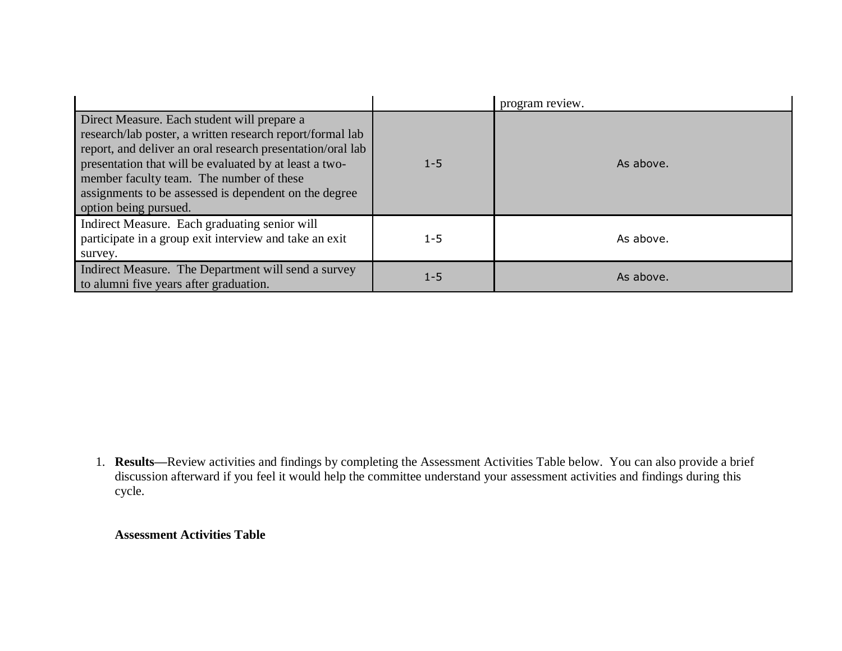|                                                                                                                                                                                                                                                                                                                                                                |         | program review. |
|----------------------------------------------------------------------------------------------------------------------------------------------------------------------------------------------------------------------------------------------------------------------------------------------------------------------------------------------------------------|---------|-----------------|
| Direct Measure. Each student will prepare a<br>research/lab poster, a written research report/formal lab<br>report, and deliver an oral research presentation/oral lab<br>presentation that will be evaluated by at least a two-<br>member faculty team. The number of these<br>assignments to be assessed is dependent on the degree<br>option being pursued. | $1 - 5$ | As above.       |
| Indirect Measure. Each graduating senior will<br>participate in a group exit interview and take an exit<br>survey.                                                                                                                                                                                                                                             | $1 - 5$ | As above.       |
| Indirect Measure. The Department will send a survey<br>to alumni five years after graduation.                                                                                                                                                                                                                                                                  | $1 - 5$ | As above.       |

1. **Results—**Review activities and findings by completing the Assessment Activities Table below. You can also provide a brief discussion afterward if you feel it would help the committee understand your assessment activities and findings during this cycle.

## **Assessment Activities Table**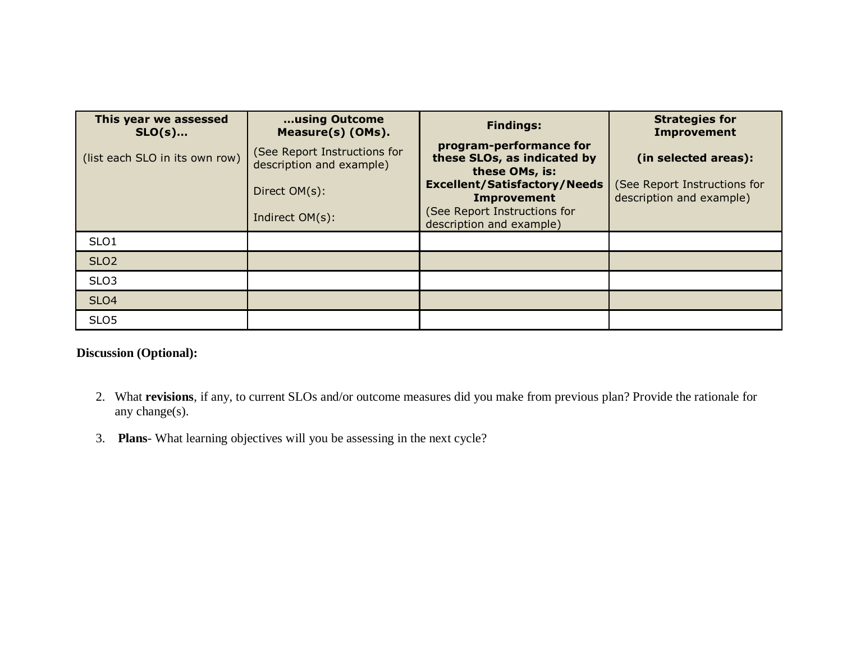| This year we assessed<br>$SLO(s)$ | using Outcome<br>Measure(s) (OMs).                       | <b>Findings:</b>                                                         | <b>Strategies for</b><br><b>Improvement</b>              |
|-----------------------------------|----------------------------------------------------------|--------------------------------------------------------------------------|----------------------------------------------------------|
| (list each SLO in its own row)    | (See Report Instructions for<br>description and example) | program-performance for<br>these SLOs, as indicated by<br>these OMs, is: | (in selected areas):                                     |
|                                   | Direct OM(s):                                            | <b>Excellent/Satisfactory/Needs</b><br><b>Improvement</b>                | (See Report Instructions for<br>description and example) |
|                                   | Indirect OM(s):                                          | (See Report Instructions for<br>description and example)                 |                                                          |
| SLO <sub>1</sub>                  |                                                          |                                                                          |                                                          |
| SLO <sub>2</sub>                  |                                                          |                                                                          |                                                          |
| SLO <sub>3</sub>                  |                                                          |                                                                          |                                                          |
| SLO <sub>4</sub>                  |                                                          |                                                                          |                                                          |
| SLO <sub>5</sub>                  |                                                          |                                                                          |                                                          |

# **Discussion (Optional):**

- 2. What **revisions**, if any, to current SLOs and/or outcome measures did you make from previous plan? Provide the rationale for any change(s).
- 3. **Plans** What learning objectives will you be assessing in the next cycle?